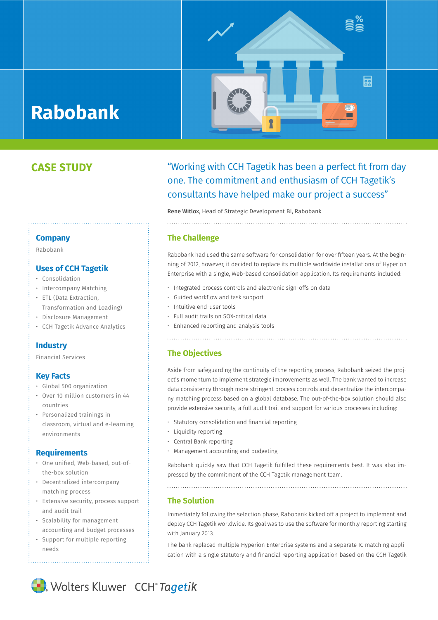# **Rabobank**

# **CASE STUDY**

**Company** Rabobank

• Consolidation

# "Working with CCH Tagetik has been a perfect fit from day one. The commitment and enthusiasm of CCH Tagetik's consultants have helped make our project a success"

**Rea** 

Rene Witlox, Head of Strategic Development BI, Rabobank

## **The Challenge**

Rabobank had used the same software for consolidation for over fifteen years. At the beginning of 2012, however, it decided to replace its multiple worldwide installations of Hyperion Enterprise with a single, Web-based consolidation application. Its requirements included:

- Integrated process controls and electronic sign-offs on data
- Guided workflow and task support
- Intuitive end-user tools
- Full audit trails on SOX-critical data
- Enhanced reporting and analysis tools

#### 

## **The Objectives**

Aside from safeguarding the continuity of the reporting process, Rabobank seized the project's momentum to implement strategic improvements as well. The bank wanted to increase data consistency through more stringent process controls and decentralize the intercompany matching process based on a global database. The out-of-the-box solution should also provide extensive security, a full audit trail and support for various processes including:

- Statutory consolidation and financial reporting
- Liquidity reporting
- Central Bank reporting
- Management accounting and budgeting

Rabobank quickly saw that CCH Tagetik fulfilled these requirements best. It was also impressed by the commitment of the CCH Tagetik management team.

matching process

- Extensive security, process support and audit trail
- Scalability for management accounting and budget processes
- Support for multiple reporting needs

**The Solution**

Immediately following the selection phase, Rabobank kicked off a project to implement and deploy CCH Tagetik worldwide. Its goal was to use the software for monthly reporting starting with January 2013.

The bank replaced multiple Hyperion Enterprise systems and a separate IC matching application with a single statutory and financial reporting application based on the CCH Tagetik



Financial Services

**Uses of CCH Tagetik**

• Intercompany Matching • ETL (Data Extraction,

Transformation and Loading) • Disclosure Management • CCH Tagetik Advance Analytics

## **Key Facts**

**Industry**

- Global 500 organization
- Over 10 million customers in 44 countries
- Personalized trainings in classroom, virtual and e-learning environments

#### **Requirements**

- One unified, Web-based, out-ofthe-box solution
- Decentralized intercompany